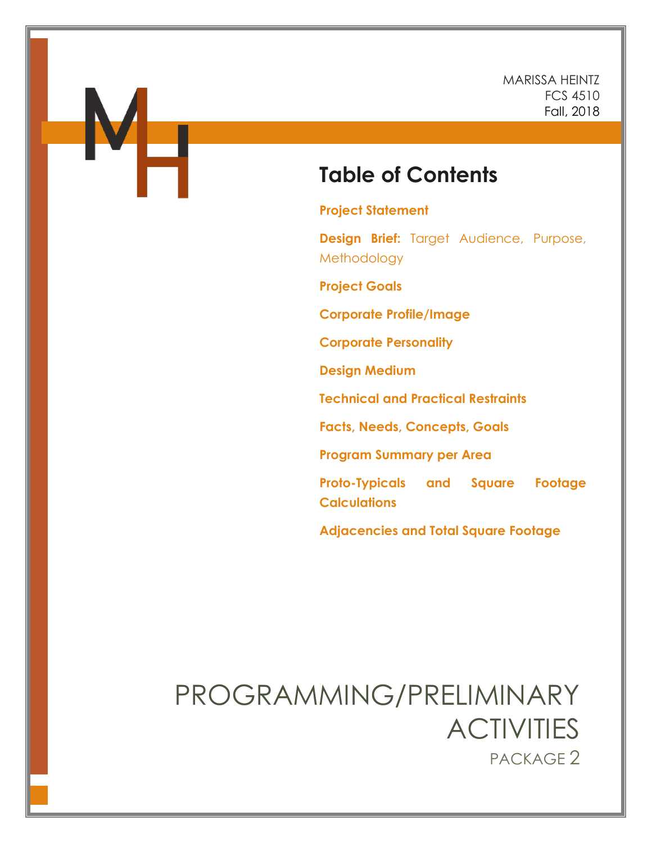# **Table of Contents**

**Project Statement**

**Design Brief:** Target Audience, Purpose, **Methodology** 

**Project Goals**

**Corporate Profile/Image**

**Corporate Personality**

**Design Medium**

**Technical and Practical Restraints**

**Facts, Needs, Concepts, Goals**

**Program Summary per Area**

**Proto-Typicals and Square Footage Calculations**

**Adjacencies and Total Square Footage**

# PROGRAMMING/PRELIMINARY **ACTIVITIES** PACKAGE 2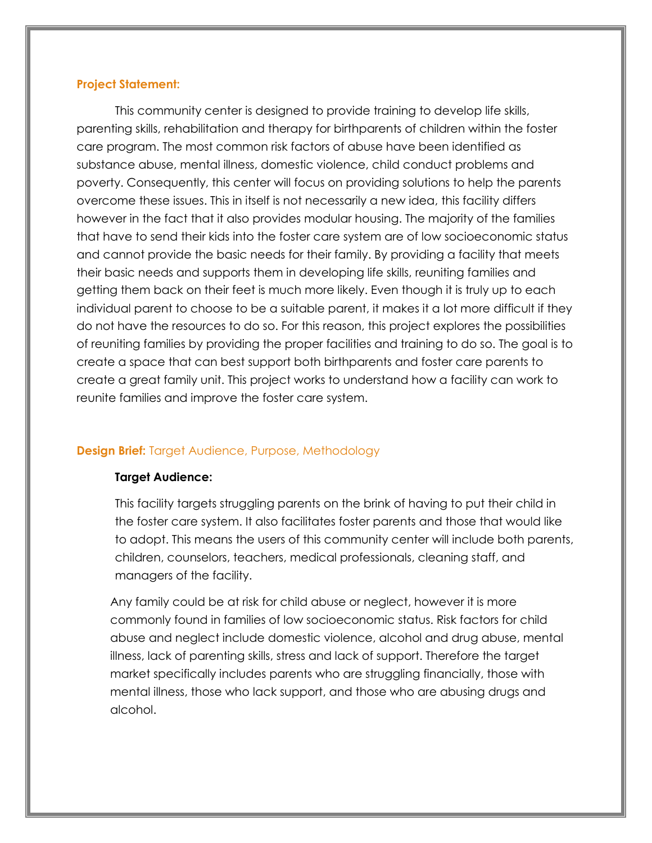#### **Project Statement:**

This community center is designed to provide training to develop life skills, parenting skills, rehabilitation and therapy for birthparents of children within the foster care program. The most common risk factors of abuse have been identified as substance abuse, mental illness, domestic violence, child conduct problems and poverty. Consequently, this center will focus on providing solutions to help the parents overcome these issues. This in itself is not necessarily a new idea, this facility differs however in the fact that it also provides modular housing. The majority of the families that have to send their kids into the foster care system are of low socioeconomic status and cannot provide the basic needs for their family. By providing a facility that meets their basic needs and supports them in developing life skills, reuniting families and getting them back on their feet is much more likely. Even though it is truly up to each individual parent to choose to be a suitable parent, it makes it a lot more difficult if they do not have the resources to do so. For this reason, this project explores the possibilities of reuniting families by providing the proper facilities and training to do so. The goal is to create a space that can best support both birthparents and foster care parents to create a great family unit. This project works to understand how a facility can work to reunite families and improve the foster care system.

# **Design Brief:** Target Audience, Purpose, Methodology

#### **Target Audience:**

This facility targets struggling parents on the brink of having to put their child in the foster care system. It also facilitates foster parents and those that would like to adopt. This means the users of this community center will include both parents, children, counselors, teachers, medical professionals, cleaning staff, and managers of the facility.

Any family could be at risk for child abuse or neglect, however it is more commonly found in families of low socioeconomic status. Risk factors for child abuse and neglect include domestic violence, alcohol and drug abuse, mental illness, lack of parenting skills, stress and lack of support. Therefore the target market specifically includes parents who are struggling financially, those with mental illness, those who lack support, and those who are abusing drugs and alcohol.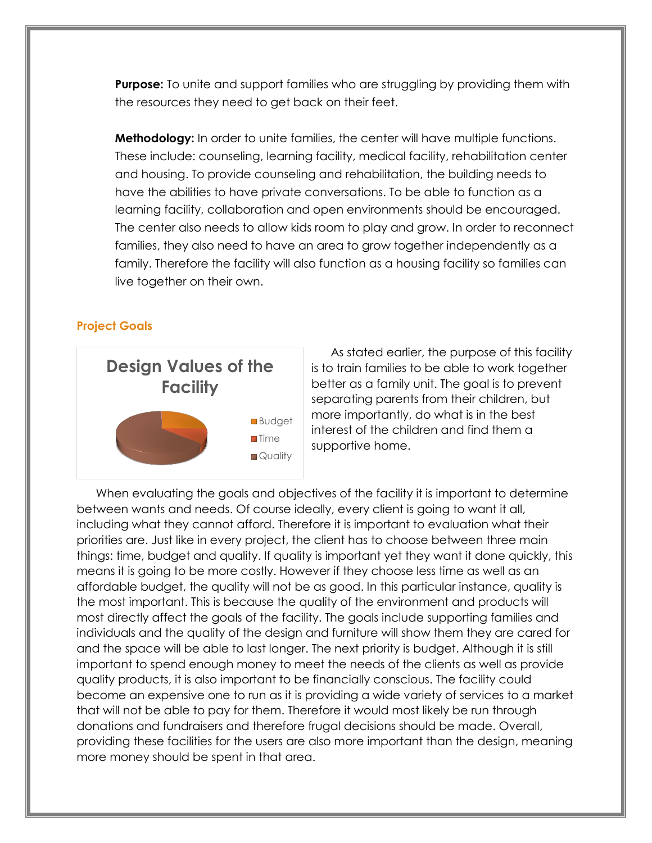**Purpose:** To unite and support families who are struggling by providing them with the resources they need to get back on their feet.

**Methodology:** In order to unite families, the center will have multiple functions. These include: counseling, learning facility, medical facility, rehabilitation center and housing. To provide counseling and rehabilitation, the building needs to have the abilities to have private conversations. To be able to function as a learning facility, collaboration and open environments should be encouraged. The center also needs to allow kids room to play and grow. In order to reconnect families, they also need to have an area to grow together independently as a family. Therefore the facility will also function as a housing facility so families can live together on their own.

## **Project Goals**



As stated earlier, the purpose of this facility is to train families to be able to work together better as a family unit. The goal is to prevent separating parents from their children, but more importantly, do what is in the best interest of the children and find them a supportive home.

When evaluating the goals and objectives of the facility it is important to determine between wants and needs. Of course ideally, every client is going to want it all, including what they cannot afford. Therefore it is important to evaluation what their priorities are. Just like in every project, the client has to choose between three main things: time, budget and quality. If quality is important yet they want it done quickly, this means it is going to be more costly. However if they choose less time as well as an affordable budget, the quality will not be as good. In this particular instance, quality is the most important. This is because the quality of the environment and products will most directly affect the goals of the facility. The goals include supporting families and individuals and the quality of the design and furniture will show them they are cared for and the space will be able to last longer. The next priority is budget. Although it is still important to spend enough money to meet the needs of the clients as well as provide quality products, it is also important to be financially conscious. The facility could become an expensive one to run as it is providing a wide variety of services to a market that will not be able to pay for them. Therefore it would most likely be run through donations and fundraisers and therefore frugal decisions should be made. Overall, providing these facilities for the users are also more important than the design, meaning more money should be spent in that area.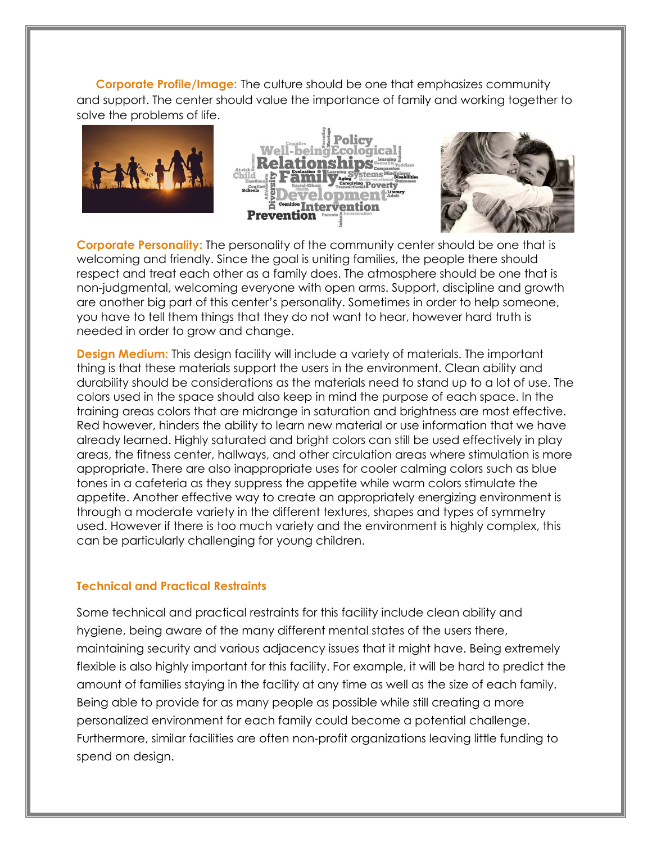**Corporate Profile/Image:** The culture should be one that emphasizes community and support. The center should value the importance of family and working together to solve the problems of life.







**Corporate Personality:** The personality of the community center should be one that is welcoming and friendly. Since the goal is uniting families, the people there should respect and treat each other as a family does. The atmosphere should be one that is non-judgmental, welcoming everyone with open arms. Support, discipline and growth are another big part of this center's personality. Sometimes in order to help someone, you have to tell them things that they do not want to hear, however hard truth is needed in order to grow and change.

**Design Medium:** This design facility will include a variety of materials. The important thing is that these materials support the users in the environment. Clean ability and durability should be considerations as the materials need to stand up to a lot of use. The colors used in the space should also keep in mind the purpose of each space. In the training areas colors that are midrange in saturation and brightness are most effective. Red however, hinders the ability to learn new material or use information that we have already learned. Highly saturated and bright colors can still be used effectively in play areas, the fitness center, hallways, and other circulation areas where stimulation is more appropriate. There are also inappropriate uses for cooler calming colors such as blue tones in a cafeteria as they suppress the appetite while warm colors stimulate the appetite. Another effective way to create an appropriately energizing environment is through a moderate variety in the different textures, shapes and types of symmetry used. However if there is too much variety and the environment is highly complex, this can be particularly challenging for young children.

#### **Technical and Practical Restraints**

Some technical and practical restraints for this facility include clean ability and hygiene, being aware of the many different mental states of the users there, maintaining security and various adjacency issues that it might have. Being extremely flexible is also highly important for this facility. For example, it will be hard to predict the amount of families staying in the facility at any time as well as the size of each family. Being able to provide for as many people as possible while still creating a more personalized environment for each family could become a potential challenge. Furthermore, similar facilities are often non-profit organizations leaving little funding to spend on design.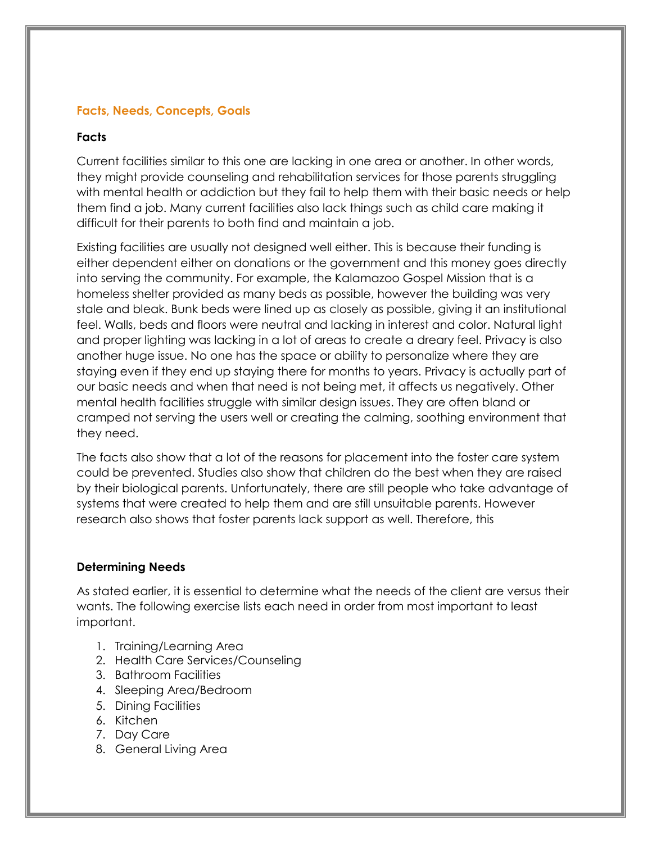#### **Facts, Needs, Concepts, Goals**

## **Facts**

Current facilities similar to this one are lacking in one area or another. In other words, they might provide counseling and rehabilitation services for those parents struggling with mental health or addiction but they fail to help them with their basic needs or help them find a job. Many current facilities also lack things such as child care making it difficult for their parents to both find and maintain a job.

Existing facilities are usually not designed well either. This is because their funding is either dependent either on donations or the government and this money goes directly into serving the community. For example, the Kalamazoo Gospel Mission that is a homeless shelter provided as many beds as possible, however the building was very stale and bleak. Bunk beds were lined up as closely as possible, giving it an institutional feel. Walls, beds and floors were neutral and lacking in interest and color. Natural light and proper lighting was lacking in a lot of areas to create a dreary feel. Privacy is also another huge issue. No one has the space or ability to personalize where they are staying even if they end up staying there for months to years. Privacy is actually part of our basic needs and when that need is not being met, it affects us negatively. Other mental health facilities struggle with similar design issues. They are often bland or cramped not serving the users well or creating the calming, soothing environment that they need.

The facts also show that a lot of the reasons for placement into the foster care system could be prevented. Studies also show that children do the best when they are raised by their biological parents. Unfortunately, there are still people who take advantage of systems that were created to help them and are still unsuitable parents. However research also shows that foster parents lack support as well. Therefore, this

# **Determining Needs**

As stated earlier, it is essential to determine what the needs of the client are versus their wants. The following exercise lists each need in order from most important to least important.

- 1. Training/Learning Area
- 2. Health Care Services/Counseling
- 3. Bathroom Facilities
- 4. Sleeping Area/Bedroom
- 5. Dining Facilities
- 6. Kitchen
- 7. Day Care
- 8. General Living Area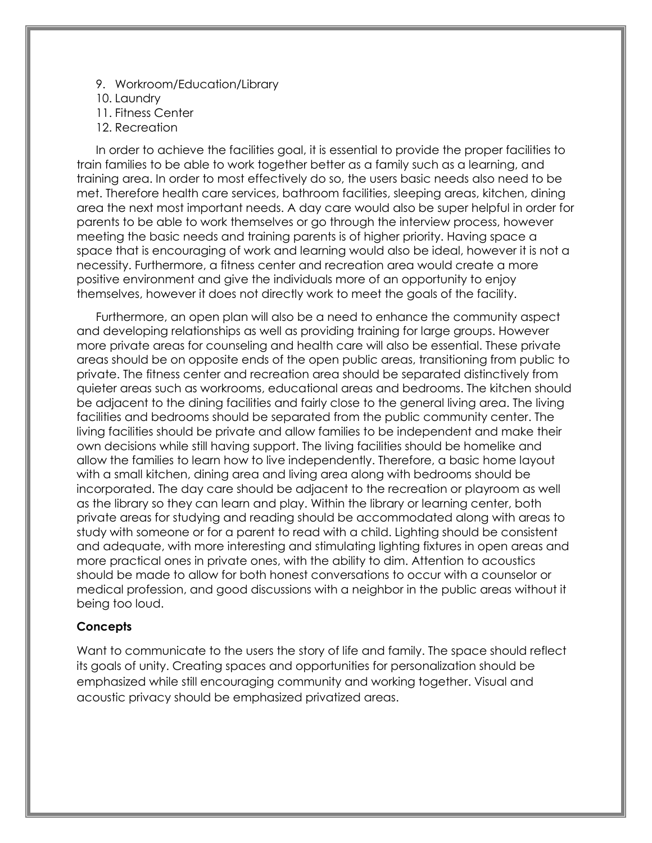- 9. Workroom/Education/Library
- 10. Laundry
- 11. Fitness Center
- 12. Recreation

In order to achieve the facilities goal, it is essential to provide the proper facilities to train families to be able to work together better as a family such as a learning, and training area. In order to most effectively do so, the users basic needs also need to be met. Therefore health care services, bathroom facilities, sleeping areas, kitchen, dining area the next most important needs. A day care would also be super helpful in order for parents to be able to work themselves or go through the interview process, however meeting the basic needs and training parents is of higher priority. Having space a space that is encouraging of work and learning would also be ideal, however it is not a necessity. Furthermore, a fitness center and recreation area would create a more positive environment and give the individuals more of an opportunity to enjoy themselves, however it does not directly work to meet the goals of the facility.

Furthermore, an open plan will also be a need to enhance the community aspect and developing relationships as well as providing training for large groups. However more private areas for counseling and health care will also be essential. These private areas should be on opposite ends of the open public areas, transitioning from public to private. The fitness center and recreation area should be separated distinctively from quieter areas such as workrooms, educational areas and bedrooms. The kitchen should be adjacent to the dining facilities and fairly close to the general living area. The living facilities and bedrooms should be separated from the public community center. The living facilities should be private and allow families to be independent and make their own decisions while still having support. The living facilities should be homelike and allow the families to learn how to live independently. Therefore, a basic home layout with a small kitchen, dining area and living area along with bedrooms should be incorporated. The day care should be adjacent to the recreation or playroom as well as the library so they can learn and play. Within the library or learning center, both private areas for studying and reading should be accommodated along with areas to study with someone or for a parent to read with a child. Lighting should be consistent and adequate, with more interesting and stimulating lighting fixtures in open areas and more practical ones in private ones, with the ability to dim. Attention to acoustics should be made to allow for both honest conversations to occur with a counselor or medical profession, and good discussions with a neighbor in the public areas without it being too loud.

#### **Concepts**

Want to communicate to the users the story of life and family. The space should reflect its goals of unity. Creating spaces and opportunities for personalization should be emphasized while still encouraging community and working together. Visual and acoustic privacy should be emphasized privatized areas.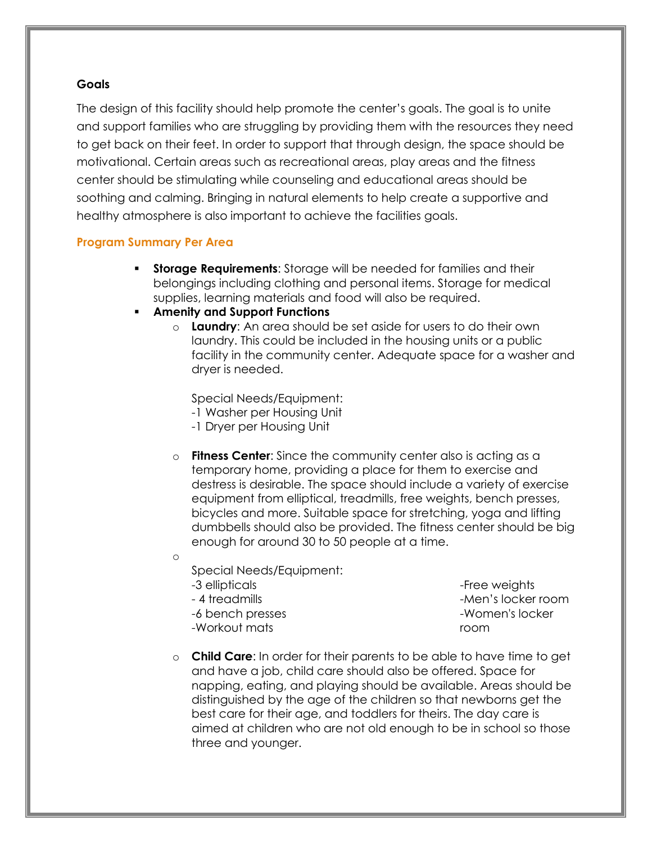#### **Goals**

The design of this facility should help promote the center's goals. The goal is to unite and support families who are struggling by providing them with the resources they need to get back on their feet. In order to support that through design, the space should be motivational. Certain areas such as recreational areas, play areas and the fitness center should be stimulating while counseling and educational areas should be soothing and calming. Bringing in natural elements to help create a supportive and healthy atmosphere is also important to achieve the facilities goals.

#### **Program Summary Per Area**

- **Storage Requirements:** Storage will be needed for families and their belongings including clothing and personal items. Storage for medical supplies, learning materials and food will also be required.
- **Amenity and Support Functions**
	- o **Laundry**: An area should be set aside for users to do their own laundry. This could be included in the housing units or a public facility in the community center. Adequate space for a washer and dryer is needed.

Special Needs/Equipment:

-1 Washer per Housing Unit

- -1 Dryer per Housing Unit
- o **Fitness Center**: Since the community center also is acting as a temporary home, providing a place for them to exercise and destress is desirable. The space should include a variety of exercise equipment from elliptical, treadmills, free weights, bench presses, bicycles and more. Suitable space for stretching, yoga and lifting dumbbells should also be provided. The fitness center should be big enough for around 30 to 50 people at a time.

o

Special Needs/Equipment:

- -3 ellipticals - 4 treadmills
- -6 bench presses -Workout mats

-Free weights -Men's locker room -Women's locker room

o **Child Care**: In order for their parents to be able to have time to get and have a job, child care should also be offered. Space for napping, eating, and playing should be available. Areas should be distinguished by the age of the children so that newborns get the best care for their age, and toddlers for theirs. The day care is aimed at children who are not old enough to be in school so those three and younger.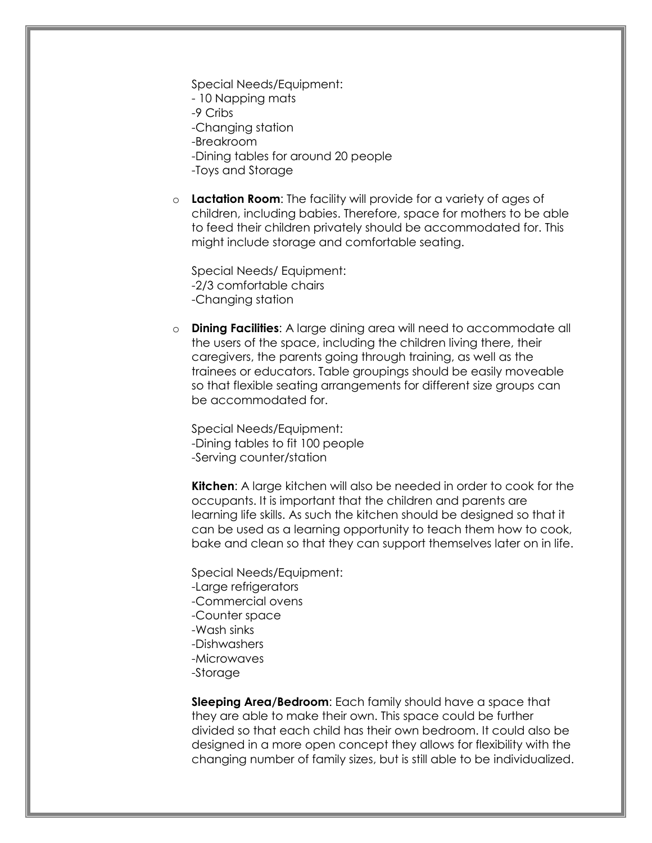Special Needs/Equipment: - 10 Napping mats -9 Cribs -Changing station -Breakroom -Dining tables for around 20 people -Toys and Storage

**Lactation Room:** The facility will provide for a variety of ages of children, including babies. Therefore, space for mothers to be able to feed their children privately should be accommodated for. This might include storage and comfortable seating.

Special Needs/ Equipment: -2/3 comfortable chairs -Changing station

o **Dining Facilities**: A large dining area will need to accommodate all the users of the space, including the children living there, their caregivers, the parents going through training, as well as the trainees or educators. Table groupings should be easily moveable so that flexible seating arrangements for different size groups can be accommodated for.

Special Needs/Equipment: -Dining tables to fit 100 people -Serving counter/station

**Kitchen**: A large kitchen will also be needed in order to cook for the occupants. It is important that the children and parents are learning life skills. As such the kitchen should be designed so that it can be used as a learning opportunity to teach them how to cook, bake and clean so that they can support themselves later on in life.

Special Needs/Equipment: -Large refrigerators -Commercial ovens -Counter space -Wash sinks -Dishwashers -Microwaves -Storage

**Sleeping Area/Bedroom**: Each family should have a space that they are able to make their own. This space could be further divided so that each child has their own bedroom. It could also be designed in a more open concept they allows for flexibility with the changing number of family sizes, but is still able to be individualized.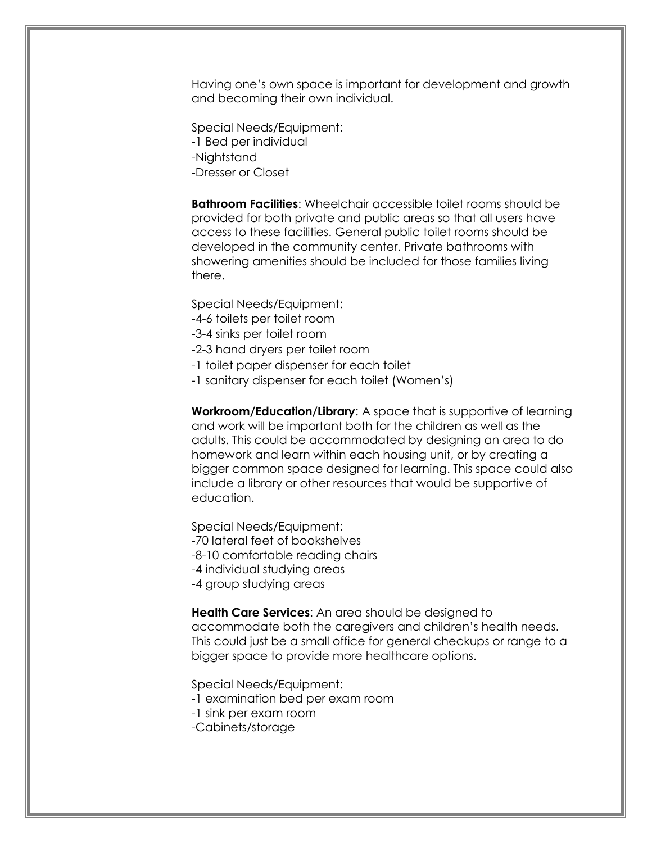Having one's own space is important for development and growth and becoming their own individual.

Special Needs/Equipment: -1 Bed per individual -Nightstand -Dresser or Closet

**Bathroom Facilities**: Wheelchair accessible toilet rooms should be provided for both private and public areas so that all users have access to these facilities. General public toilet rooms should be developed in the community center. Private bathrooms with showering amenities should be included for those families living there.

Special Needs/Equipment:

- -4-6 toilets per toilet room
- -3-4 sinks per toilet room
- -2-3 hand dryers per toilet room
- -1 toilet paper dispenser for each toilet
- -1 sanitary dispenser for each toilet (Women's)

**Workroom/Education/Library**: A space that is supportive of learning and work will be important both for the children as well as the adults. This could be accommodated by designing an area to do homework and learn within each housing unit, or by creating a bigger common space designed for learning. This space could also include a library or other resources that would be supportive of education.

Special Needs/Equipment: -70 lateral feet of bookshelves -8-10 comfortable reading chairs -4 individual studying areas -4 group studying areas

**Health Care Services**: An area should be designed to accommodate both the caregivers and children's health needs. This could just be a small office for general checkups or range to a bigger space to provide more healthcare options.

Special Needs/Equipment:

- -1 examination bed per exam room
- -1 sink per exam room

-Cabinets/storage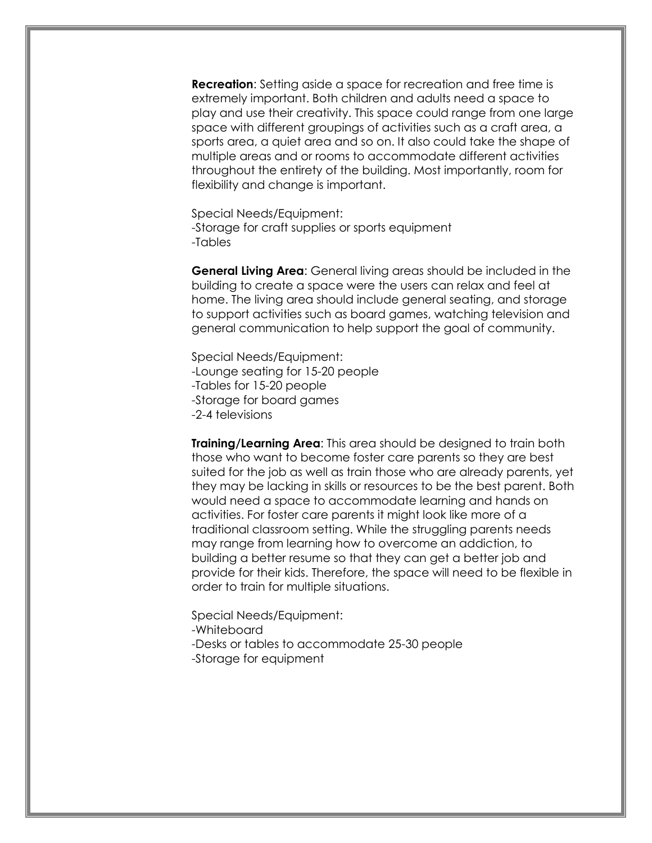**Recreation:** Setting aside a space for recreation and free time is extremely important. Both children and adults need a space to play and use their creativity. This space could range from one large space with different groupings of activities such as a craft area, a sports area, a quiet area and so on. It also could take the shape of multiple areas and or rooms to accommodate different activities throughout the entirety of the building. Most importantly, room for flexibility and change is important.

Special Needs/Equipment: -Storage for craft supplies or sports equipment -Tables

**General Living Area**: General living areas should be included in the building to create a space were the users can relax and feel at home. The living area should include general seating, and storage to support activities such as board games, watching television and general communication to help support the goal of community.

Special Needs/Equipment: -Lounge seating for 15-20 people -Tables for 15-20 people -Storage for board games -2-4 televisions

**Training/Learning Area**: This area should be designed to train both those who want to become foster care parents so they are best suited for the job as well as train those who are already parents, yet they may be lacking in skills or resources to be the best parent. Both would need a space to accommodate learning and hands on activities. For foster care parents it might look like more of a traditional classroom setting. While the struggling parents needs may range from learning how to overcome an addiction, to building a better resume so that they can get a better job and provide for their kids. Therefore, the space will need to be flexible in order to train for multiple situations.

Special Needs/Equipment: -Whiteboard -Desks or tables to accommodate 25-30 people -Storage for equipment